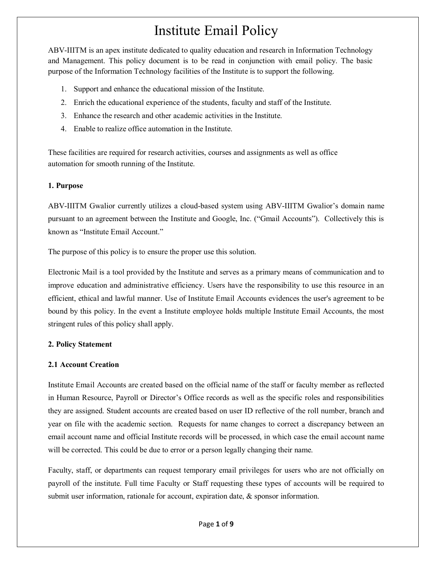# Institute Email Policy

ABV-IIITM is an apex institute dedicated to quality education and research in Information Technology and Management. This policy document is to be read in conjunction with email policy. The basic purpose of the Information Technology facilities of the Institute is to support the following.

- 1. Support and enhance the educational mission of the Institute.
- 2. Enrich the educational experience of the students, faculty and staff of the Institute.
- 3. Enhance the research and other academic activities in the Institute.
- 4. Enable to realize office automation in the Institute.

These facilities are required for research activities, courses and assignments as well as office automation for smooth running of the Institute.

## **1. Purpose**

ABV-IIITM Gwalior currently utilizes a cloud-based system using ABV-IIITM Gwalior's domain name pursuant to an agreement between the Institute and Google, Inc. ("Gmail Accounts"). Collectively this is known as "Institute Email Account."

The purpose of this policy is to ensure the proper use this solution.

Electronic Mail is a tool provided by the Institute and serves as a primary means of communication and to improve education and administrative efficiency. Users have the responsibility to use this resource in an efficient, ethical and lawful manner. Use of Institute Email Accounts evidences the user's agreement to be bound by this policy. In the event a Institute employee holds multiple Institute Email Accounts, the most stringent rules of this policy shall apply.

## **2. Policy Statement**

## **2.1 Account Creation**

Institute Email Accounts are created based on the official name of the staff or faculty member as reflected in Human Resource, Payroll or Director's Office records as well as the specific roles and responsibilities they are assigned. Student accounts are created based on user ID reflective of the roll number, branch and year on file with the academic section. Requests for name changes to correct a discrepancy between an email account name and official Institute records will be processed, in which case the email account name will be corrected. This could be due to error or a person legally changing their name.

Faculty, staff, or departments can request temporary email privileges for users who are not officially on payroll of the institute. Full time Faculty or Staff requesting these types of accounts will be required to submit user information, rationale for account, expiration date,  $\&$  sponsor information.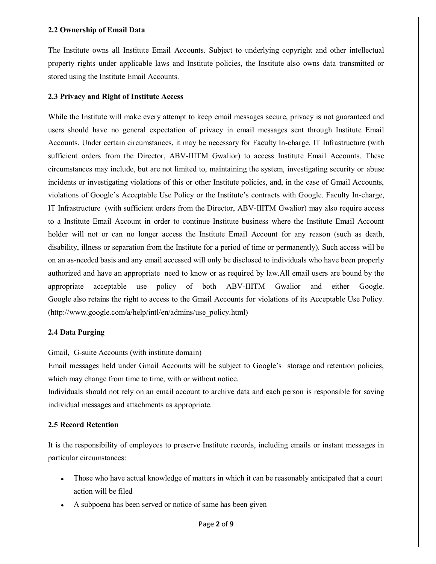#### **2.2 Ownership of Email Data**

The Institute owns all Institute Email Accounts. Subject to underlying copyright and other intellectual property rights under applicable laws and Institute policies, the Institute also owns data transmitted or stored using the Institute Email Accounts.

## **2.3 Privacy and Right of Institute Access**

While the Institute will make every attempt to keep email messages secure, privacy is not guaranteed and users should have no general expectation of privacy in email messages sent through Institute Email Accounts. Under certain circumstances, it may be necessary for Faculty In-charge, IT Infrastructure (with sufficient orders from the Director, ABV-IIITM Gwalior) to access Institute Email Accounts. These circumstances may include, but are not limited to, maintaining the system, investigating security or abuse incidents or investigating violations of this or other Institute policies, and, in the case of Gmail Accounts, violations of Google's Acceptable Use Policy or the Institute's contracts with Google. Faculty In-charge, IT Infrastructure (with sufficient orders from the Director, ABV-IIITM Gwalior) may also require access to a Institute Email Account in order to continue Institute business where the Institute Email Account holder will not or can no longer access the Institute Email Account for any reason (such as death, disability, illness or separation from the Institute for a period of time or permanently). Such access will be on an as-needed basis and any email accessed will only be disclosed to individuals who have been properly authorized and have an appropriate need to know or as required by law.All email users are bound by the appropriate acceptable use policy of both ABV-IIITM Gwalior and either Google. Google also retains the right to access to the Gmail Accounts for violations of its Acceptable Use Policy. (http://www.google.com/a/help/intl/en/admins/use\_policy.html)

## **2.4 Data Purging**

Gmail, G-suite Accounts (with institute domain)

Email messages held under Gmail Accounts will be subject to Google's storage and retention policies, which may change from time to time, with or without notice.

Individuals should not rely on an email account to archive data and each person is responsible for saving individual messages and attachments as appropriate.

## **2.5 Record Retention**

It is the responsibility of employees to preserve Institute records, including emails or instant messages in particular circumstances:

- Those who have actual knowledge of matters in which it can be reasonably anticipated that a court action will be filed
- A subpoena has been served or notice of same has been given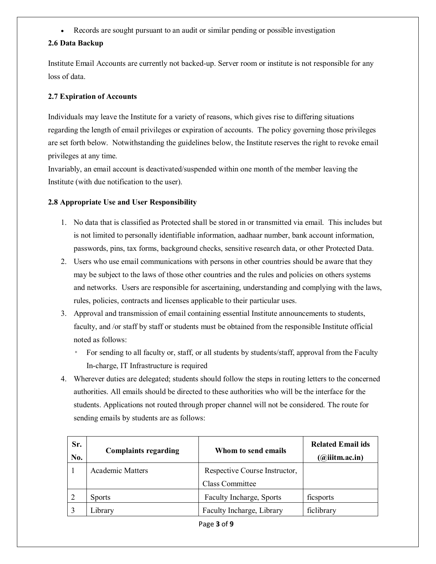Records are sought pursuant to an audit or similar pending or possible investigation  $\bullet$ 

## **2.6 Data Backup**

Institute Email Accounts are currently not backed-up. Server room or institute is not responsible for any loss of data.

## **2.7 Expiration of Accounts**

Individuals may leave the Institute for a variety of reasons, which gives rise to differing situations regarding the length of email privileges or expiration of accounts. The policy governing those privileges are set forth below. Notwithstanding the guidelines below, the Institute reserves the right to revoke email privileges at any time.

Invariably, an email account is deactivated/suspended within one month of the member leaving the Institute (with due notification to the user).

## **2.8 Appropriate Use and User Responsibility**

- 1. No data that is classified as Protected shall be stored in or transmitted via email. This includes but is not limited to personally identifiable information, aadhaar number, bank account information, passwords, pins, tax forms, background checks, sensitive research data, or other Protected Data.
- 2. Users who use email communications with persons in other countries should be aware that they may be subject to the laws of those other countries and the rules and policies on others systems and networks. Users are responsible for ascertaining, understanding and complying with the laws, rules, policies, contracts and licenses applicable to their particular uses.
- 3. Approval and transmission of email containing essential Institute announcements to students, faculty, and /or staff by staff or students must be obtained from the responsible Institute official noted as follows:
	- For sending to all faculty or, staff, or all students by students/staff, approval from the Faculty In-charge, IT Infrastructure is required
- 4. Wherever duties are delegated; students should follow the steps in routing letters to the concerned authorities. All emails should be directed to these authorities who will be the interface for the students. Applications not routed through proper channel will not be considered. The route for sending emails by students are as follows:

| Sr.<br>No. | <b>Complaints regarding</b> | Whom to send emails                                     | <b>Related Email ids</b><br>$(a)$ iiitm.ac.in) |
|------------|-----------------------------|---------------------------------------------------------|------------------------------------------------|
|            | <b>Academic Matters</b>     | Respective Course Instructor,<br><b>Class Committee</b> |                                                |
|            | <b>Sports</b>               | Faculty Incharge, Sports                                | ficsports                                      |
|            | Library                     | Faculty Incharge, Library                               | ficlibrary                                     |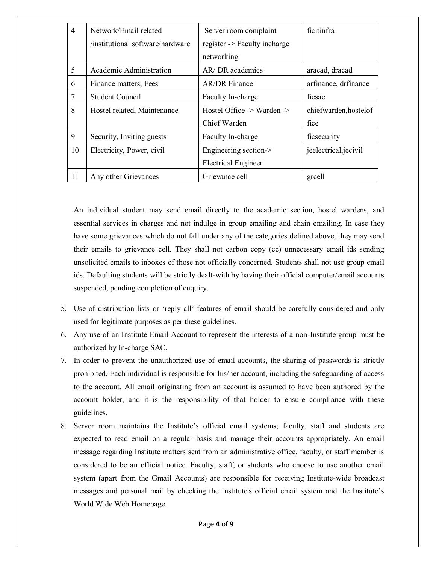| $\overline{4}$ | Network/Email related            | Server room complaint                            | ficitinfra             |
|----------------|----------------------------------|--------------------------------------------------|------------------------|
|                | /institutional software/hardware | register -> Faculty incharge                     |                        |
|                |                                  | networking                                       |                        |
| 5              | Academic Administration          | AR/ DR academics                                 | aracad, dracad         |
| 6              | Finance matters, Fees            | <b>AR/DR</b> Finance                             | arfinance, drfinance   |
|                | <b>Student Council</b>           | Faculty In-charge                                | ficsac                 |
| 8              | Hostel related, Maintenance      | Hostel Office $\rightarrow$ Warden $\rightarrow$ | chiefwarden, hostel of |
|                |                                  | Chief Warden                                     | fice                   |
| 9              | Security, Inviting guests        | Faculty In-charge                                | ficsecurity            |
| 10             | Electricity, Power, civil        | Engineering section->                            | jeelectrical, jecivil  |
|                |                                  | <b>Electrical Engineer</b>                       |                        |
| 11             | Any other Grievances             | Grievance cell                                   | greell                 |

An individual student may send email directly to the academic section, hostel wardens, and essential services in charges and not indulge in group emailing and chain emailing. In case they have some grievances which do not fall under any of the categories defined above, they may send their emails to grievance cell. They shall not carbon copy (cc) unnecessary email ids sending unsolicited emails to inboxes of those not officially concerned. Students shall not use group email ids. Defaulting students will be strictly dealt-with by having their official computer/email accounts suspended, pending completion of enquiry.

- 5. Use of distribution lists or 'reply all' features of email should be carefully considered and only used for legitimate purposes as per these guidelines.
- 6. Any use of an Institute Email Account to represent the interests of a non-Institute group must be authorized by In-charge SAC.
- 7. In order to prevent the unauthorized use of email accounts, the sharing of passwords is strictly prohibited. Each individual is responsible for his/her account, including the safeguarding of access to the account. All email originating from an account is assumed to have been authored by the account holder, and it is the responsibility of that holder to ensure compliance with these guidelines.
- 8. Server room maintains the Institute's official email systems; faculty, staff and students are expected to read email on a regular basis and manage their accounts appropriately. An email message regarding Institute matters sent from an administrative office, faculty, or staff member is considered to be an official notice. Faculty, staff, or students who choose to use another email system (apart from the Gmail Accounts) are responsible for receiving Institute-wide broadcast messages and personal mail by checking the Institute's official email system and the Institute's World Wide Web Homepage.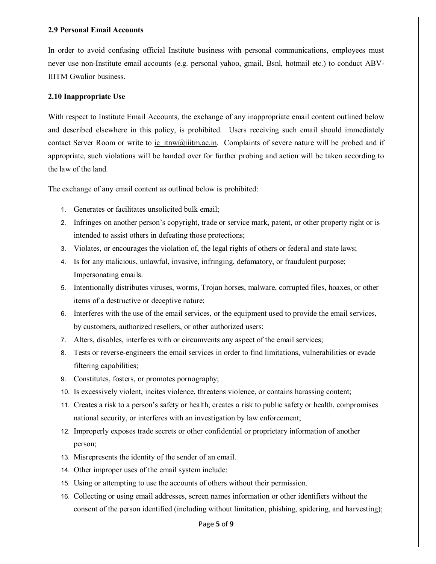#### **2.9 Personal Email Accounts**

In order to avoid confusing official Institute business with personal communications, employees must never use non-Institute email accounts (e.g. personal yahoo, gmail, Bsnl, hotmail etc.) to conduct ABV-IIITM Gwalior business.

#### **2.10 Inappropriate Use**

With respect to Institute Email Accounts, the exchange of any inappropriate email content outlined below and described elsewhere in this policy, is prohibited. Users receiving such email should immediately contact Server Room or write to ic itnw@iiitm.ac.in. Complaints of severe nature will be probed and if appropriate, such violations will be handed over for further probing and action will be taken according to the law of the land.

The exchange of any email content as outlined below is prohibited:

- 1. Generates or facilitates unsolicited bulk email;
- 2. Infringes on another person's copyright, trade or service mark, patent, or other property right or is intended to assist others in defeating those protections;
- 3. Violates, or encourages the violation of, the legal rights of others or federal and state laws;
- 4. Is for any malicious, unlawful, invasive, infringing, defamatory, or fraudulent purpose; Impersonating emails.
- 5. Intentionally distributes viruses, worms, Trojan horses, malware, corrupted files, hoaxes, or other items of a destructive or deceptive nature;
- 6. Interferes with the use of the email services, or the equipment used to provide the email services, by customers, authorized resellers, or other authorized users;
- 7. Alters, disables, interferes with or circumvents any aspect of the email services;
- 8. Tests or reverse-engineers the email services in order to find limitations, vulnerabilities or evade filtering capabilities;
- 9. Constitutes, fosters, or promotes pornography;
- 10. Is excessively violent, incites violence, threatens violence, or contains harassing content;
- 11. Creates a risk to a person's safety or health, creates a risk to public safety or health, compromises national security, or interferes with an investigation by law enforcement;
- 12. Improperly exposes trade secrets or other confidential or proprietary information of another person;
- 13. Misrepresents the identity of the sender of an email.
- 14. Other improper uses of the email system include:
- 15. Using or attempting to use the accounts of others without their permission.
- 16. Collecting or using email addresses, screen names information or other identifiers without the consent of the person identified (including without limitation, phishing, spidering, and harvesting);

#### Page **5** of **9**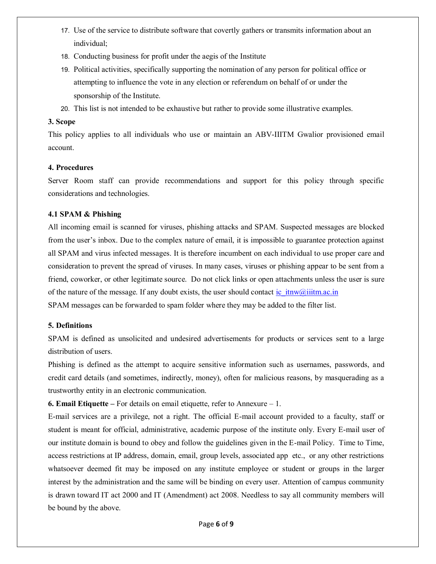- 17. Use of the service to distribute software that covertly gathers or transmits information about an individual;
- 18. Conducting business for profit under the aegis of the Institute
- 19. Political activities, specifically supporting the nomination of any person for political office or attempting to influence the vote in any election or referendum on behalf of or under the sponsorship of the Institute.
- 20. This list is not intended to be exhaustive but rather to provide some illustrative examples.

#### **3. Scope**

This policy applies to all individuals who use or maintain an ABV-IIITM Gwalior provisioned email account.

## **4. Procedures**

Server Room staff can provide recommendations and support for this policy through specific considerations and technologies.

## **4.1 SPAM & Phishing**

All incoming email is scanned for viruses, phishing attacks and SPAM. Suspected messages are blocked from the user's inbox. Due to the complex nature of email, it is impossible to guarantee protection against all SPAM and virus infected messages. It is therefore incumbent on each individual to use proper care and consideration to prevent the spread of viruses. In many cases, viruses or phishing appear to be sent from a friend, coworker, or other legitimate source. Do not click links or open attachments unless the user is sure of the nature of the message. If any doubt exists, the user should contact ic  $itnw@$  iitm.ac.in SPAM messages can be forwarded to spam folder where they may be added to the filter list.

#### **5. Definitions**

SPAM is defined as unsolicited and undesired advertisements for products or services sent to a large distribution of users.

Phishing is defined as the attempt to acquire sensitive information such as usernames, passwords, and credit card details (and sometimes, indirectly, money), often for malicious reasons, by masquerading as a trustworthy entity in an electronic communication.

**6. Email Etiquette –** For details on email etiquette, refer to Annexure – 1.

E-mail services are a privilege, not a right. The official E-mail account provided to a faculty, staff or student is meant for official, administrative, academic purpose of the institute only. Every E-mail user of our institute domain is bound to obey and follow the guidelines given in the E-mail Policy. Time to Time, access restrictions at IP address, domain, email, group levels, associated app etc., or any other restrictions whatsoever deemed fit may be imposed on any institute employee or student or groups in the larger interest by the administration and the same will be binding on every user. Attention of campus community is drawn toward IT act 2000 and IT (Amendment) act 2008. Needless to say all community members will be bound by the above.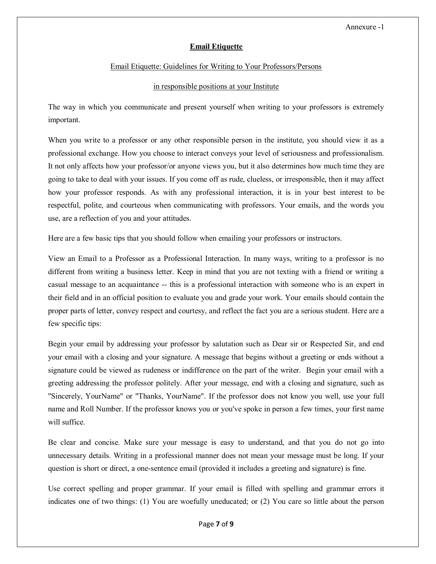# **Email Etiquette**

## Email Etiquette: Guidelines for Writing to Your Professors/Persons

## in responsible positions at your Institute

The way in which you communicate and present yourself when writing to your professors is extremely important.

When you write to a professor or any other responsible person in the institute, you should view it as a professional exchange. How you choose to interact conveys your level of seriousness and professionalism. It not only affects how your professor/or anyone views you, but it also determines how much time they are going to take to deal with your issues. If you come off as rude, clueless, or irresponsible, then it may affect how your professor responds. As with any professional interaction, it is in your best interest to be respectful, polite, and courteous when communicating with professors. Your emails, and the words you use, are a reflection of you and your attitudes.

Here are a few basic tips that you should follow when emailing your professors or instructors.

View an Email to a Professor as a Professional Interaction. In many ways, writing to a professor is no different from writing a business letter. Keep in mind that you are not texting with a friend or writing a casual message to an acquaintance -- this is a professional interaction with someone who is an expert in their field and in an official position to evaluate you and grade your work. Your emails should contain the proper parts of letter, convey respect and courtesy, and reflect the fact you are a serious student. Here are a few specific tips:

Begin your email by addressing your professor by salutation such as Dear sir or Respected Sir, and end your email with a closing and your signature. A message that begins without a greeting or ends without a signature could be viewed as rudeness or indifference on the part of the writer. Begin your email with a greeting addressing the professor politely. After your message, end with a closing and signature, such as "Sincerely, YourName" or "Thanks, YourName". If the professor does not know you well, use your full name and Roll Number. If the professor knows you or you've spoke in person a few times, your first name will suffice.

Be clear and concise. Make sure your message is easy to understand, and that you do not go into unnecessary details. Writing in a professional manner does not mean your message must be long. If your question is short or direct, a one-sentence email (provided it includes a greeting and signature) is fine.

Use correct spelling and proper grammar. If your email is filled with spelling and grammar errors it indicates one of two things: (1) You are woefully uneducated; or (2) You care so little about the person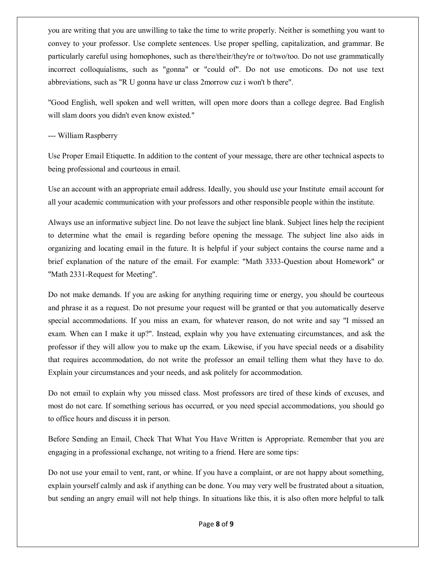you are writing that you are unwilling to take the time to write properly. Neither is something you want to convey to your professor. Use complete sentences. Use proper spelling, capitalization, and grammar. Be particularly careful using homophones, such as there/their/they're or to/two/too. Do not use grammatically incorrect colloquialisms, such as "gonna" or "could of". Do not use emoticons. Do not use text abbreviations, such as "R U gonna have ur class 2morrow cuz i won't b there".

"Good English, well spoken and well written, will open more doors than a college degree. Bad English will slam doors you didn't even know existed."

## --- William Raspberry

Use Proper Email Etiquette. In addition to the content of your message, there are other technical aspects to being professional and courteous in email.

Use an account with an appropriate email address. Ideally, you should use your Institute email account for all your academic communication with your professors and other responsible people within the institute.

Always use an informative subject line. Do not leave the subject line blank. Subject lines help the recipient to determine what the email is regarding before opening the message. The subject line also aids in organizing and locating email in the future. It is helpful if your subject contains the course name and a brief explanation of the nature of the email. For example: "Math 3333-Question about Homework" or "Math 2331-Request for Meeting".

Do not make demands. If you are asking for anything requiring time or energy, you should be courteous and phrase it as a request. Do not presume your request will be granted or that you automatically deserve special accommodations. If you miss an exam, for whatever reason, do not write and say "I missed an exam. When can I make it up?". Instead, explain why you have extenuating circumstances, and ask the professor if they will allow you to make up the exam. Likewise, if you have special needs or a disability that requires accommodation, do not write the professor an email telling them what they have to do. Explain your circumstances and your needs, and ask politely for accommodation.

Do not email to explain why you missed class. Most professors are tired of these kinds of excuses, and most do not care. If something serious has occurred, or you need special accommodations, you should go to office hours and discuss it in person.

Before Sending an Email, Check That What You Have Written is Appropriate. Remember that you are engaging in a professional exchange, not writing to a friend. Here are some tips:

Do not use your email to vent, rant, or whine. If you have a complaint, or are not happy about something, explain yourself calmly and ask if anything can be done. You may very well be frustrated about a situation, but sending an angry email will not help things. In situations like this, it is also often more helpful to talk